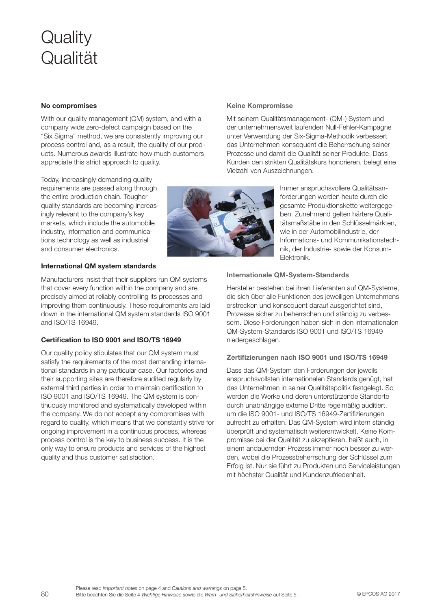# **Quality** Qualität

# No compromises

With our quality management (QM) system, and with a company wide zero-defect campaign based on the "Six Sigma" method, we are consistently improving our process control and, as a result, the quality of our products. Numerous awards illustrate how much customers appreciate this strict approach to quality.

Today, increasingly demanding quality requirements are passed along through the entire production chain. Tougher quality standards are becoming increasingly relevant to the company's key markets, which include the automobile industry, information and communications technology as well as industrial and consumer electronics.

# International QM system standards

Manufacturers insist that their suppliers run QM systems that cover every function within the company and are precisely aimed at reliably controlling its processes and improving them continuously. These requirements are laid down in the international QM system standards ISO 9001 and ISO/TS 16949.

# Certification to ISO 9001 and ISO/TS 16949

Our quality policy stipulates that our QM system must satisfy the requirements of the most demanding international standards in any particular case. Our factories and their supporting sites are therefore audited regularly by external third parties in order to maintain certification to ISO 9001 and ISO/TS 16949. The QM system is continuously monitored and systematically developed within the company. We do not accept any compromises with regard to quality, which means that we constantly strive for ongoing improvement in a continuous process, whereas process control is the key to business success. It is the only way to ensure products and services of the highest quality and thus customer satisfaction.

# Keine Kompromisse

Mit seinem Qualitätsmanagement- (QM-) System und der unternehmensweit laufenden Null-Fehler-Kampagne unter Verwendung der Six-Sigma-Methodik verbessert das Unternehmen konsequent die Beherrschung seiner Prozesse und damit die Qualität seiner Produkte. Dass Kunden den strikten Qualitätskurs honorieren, belegt eine Vielzahl von Auszeichnungen.

> Immer anspruchsvollere Qualitätsanforderungen werden heute durch die gesamte Produktionskette weitergegeben. Zunehmend gelten härtere Qualitätsmaßstäbe in den Schlüsselmärkten, wie in der Automobilindustrie, der Informations- und Kommunikationstechnik, der Industrie- sowie der Konsum-Elektronik.

# Internationale QM-System-Standards

Hersteller bestehen bei ihren Lieferanten auf QM-Systeme, die sich über alle Funktionen des jeweiligen Unternehmens erstrecken und konsequent darauf ausgerichtet sind, Prozesse sicher zu beherrschen und ständig zu verbessern. Diese Forderungen haben sich in den internationalen QM-System-Standards ISO 9001 und ISO/TS 16949 niedergeschlagen.

# Zertifizierungen nach ISO 9001 und ISO/TS 16949

Dass das QM-System den Forderungen der jeweils anspruchsvollsten internationalen Standards genügt, hat das Unternehmen in seiner Qualitätspolitik festgelegt. So werden die Werke und deren unterstützende Standorte durch unabhängige externe Dritte regelmäßig auditiert, um die ISO 9001- und ISO/TS 16949-Zertifizierungen aufrecht zu erhalten. Das QM-System wird intern ständig überprüft und systematisch weiterentwickelt. Keine Kompromisse bei der Qualität zu akzeptieren, heißt auch, in einem andauernden Prozess immer noch besser zu werden, wobei die Prozessbeherrschung der Schlüssel zum Erfolg ist. Nur sie führt zu Produkten und Serviceleistungen mit höchster Qualität und Kundenzufriedenheit.

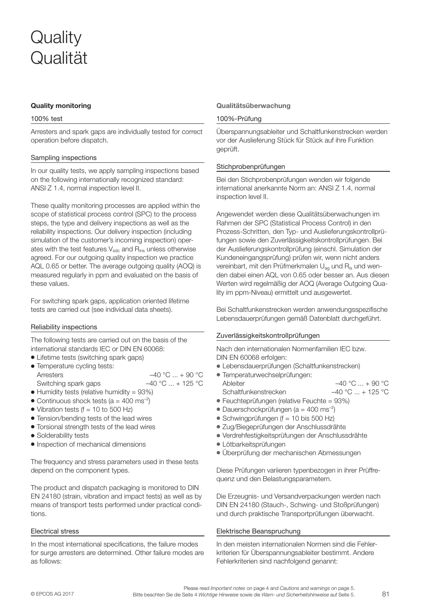# Quality monitoring

## 100% test

Arresters and spark gaps are individually tested for correct operation before dispatch.

# Sampling inspections

In our quality tests, we apply sampling inspections based on the following internationally recognized standard: ANSI Z 1.4, normal inspection level II.

These quality monitoring processes are applied within the scope of statistical process control (SPC) to the process steps, the type and delivery inspections as well as the reliability inspections. Our delivery inspection (including simulation of the customer's incoming inspection) operates with the test features  $V_{\text{sdc}}$  and  $R_{\text{ins}}$  unless otherwise agreed. For our outgoing quality inspection we practice AQL 0.65 or better. The average outgoing quality (AOQ) is measured regularly in ppm and evaluated on the basis of these values.

For switching spark gaps, application oriented lifetime tests are carried out (see individual data sheets).

### Reliability inspections

The following tests are carried out on the basis of the international standards IEC or DIN EN 60068:

- Lifetime tests (switching spark gaps)
- Temperature cycling tests: Arresters  $-40 °C ... + 90 °C$ Switching spark gaps  $-40 °C ... + 125 °C$
- $\bullet$  Humidity tests (relative humidity = 93%)
- Continuous shock tests ( $a = 400$  ms<sup>-2</sup>)
- $\bullet$  Vibration tests (f = 10 to 500 Hz)
- Tension/bending tests of the lead wires
- Torsional strength tests of the lead wires
- Solderability tests
- Inspection of mechanical dimensions

The frequency and stress parameters used in these tests depend on the component types.

The product and dispatch packaging is monitored to DIN EN 24180 (strain, vibration and impact tests) as well as by means of transport tests performed under practical conditions.

#### Electrical stress

In the most international specifications, the failure modes for surge arresters are determined. Other failure modes are as follows:

#### Qualitätsüberwachung

## 100%-Prüfung

Überspannungsableiter und Schaltfunkenstrecken werden vor der Auslieferung Stück für Stück auf ihre Funktion geprüft.

#### Stichprobenprüfungen

Bei den Stichprobenprüfungen wenden wir folgende international anerkannte Norm an: ANSI Z 1.4, normal inspection level II.

Angewendet werden diese Qualitätsüberwachungen im Rahmen der SPC (Statistical Process Control) in den Prozess-Schritten, den Typ- und Auslieferungskontrollprüfungen sowie den Zuverlässigkeitskontrollprüfungen. Bei der Auslieferungskontrollprüfung (einschl. Simulation der Kundeneingangsprüfung) prüfen wir, wenn nicht anders vereinbart, mit den Prüfmerkmalen U<sub>ag</sub> und R<sub>is</sub> und wenden dabei einen AQL von 0.65 oder besser an. Aus diesen Werten wird regelmäßig der AOQ (Average Outgoing Quality im ppm-Niveau) ermittelt und ausgewertet.

Bei Schaltfunkenstrecken werden anwendungsspezifische Lebensdauerprüfungen gemäß Datenblatt durchgeführt.

# Zuverlässigkeitskontrollprüfungen

Nach den internationalen Normenfamilien IEC bzw. DIN EN 60068 erfolgen:

- V Lebensdauerprüfungen (Schaltfunkenstrecken)
- Temperaturwechselprüfungen: Ableiter  $-40 °C ... + 90 °C$ Schaltfunkenstrecken –40 °C ... + 125 °C
- Feuchteprüfungen (relative Feuchte = 93%)
- Dauerschockprüfungen ( $a = 400$  ms<sup>-2</sup>)
- Schwingprüfungen ( $f = 10$  bis 500 Hz)
- Zug/Biegeprüfungen der Anschlussdrähte
- Verdrehfestigkeitsprüfungen der Anschlussdrähte
- Lötbarkeitsprüfungen
- Überprüfung der mechanischen Abmessungen

Diese Prüfungen variieren typenbezogen in ihrer Prüffrequenz und den Belastungsparametern.

Die Erzeugnis- und Versandverpackungen werden nach DIN EN 24180 (Stauch-, Schwing- und Stoßprüfungen) und durch praktische Transportprüfungen überwacht.

#### Elektrische Beanspruchung

In den meisten internationalen Normen sind die Fehlerkriterien für Überspannungsableiter bestimmt. Andere Fehlerkriterien sind nachfolgend genannt: